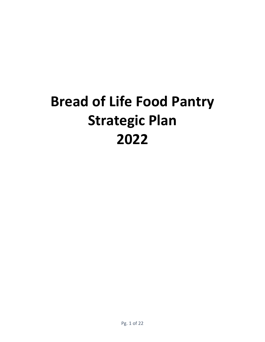# **Bread of Life Food Pantry Strategic Plan 2022**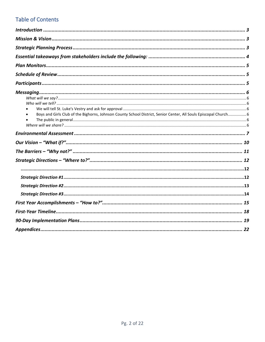## **Table of Contents**

| Boys and Girls Club of the Bighorns, Johnson County School District, Senior Center, All Souls Episcopal Church 6 |  |
|------------------------------------------------------------------------------------------------------------------|--|
|                                                                                                                  |  |
|                                                                                                                  |  |
|                                                                                                                  |  |
|                                                                                                                  |  |
|                                                                                                                  |  |
|                                                                                                                  |  |
|                                                                                                                  |  |
|                                                                                                                  |  |
|                                                                                                                  |  |
|                                                                                                                  |  |
|                                                                                                                  |  |
|                                                                                                                  |  |
|                                                                                                                  |  |
|                                                                                                                  |  |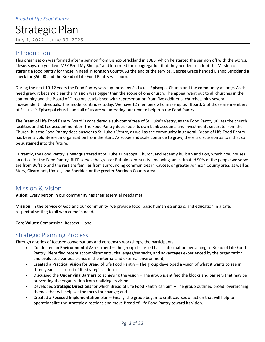## <span id="page-2-0"></span>Introduction

This organization was formed after a sermon from Bishop Strickland in 1985, which he started the sermon off with the words, "Jesus says, do you love ME? Feed My Sheep." and informed the congregation that they needed to adopt the Mission of starting a food pantry for those in need in Johnson County. At the end of the service, George Grace handed Bishop Strickland a check for \$50.00 and the Bread of Life Food Pantry was born.

During the next 10-12 years the Food Pantry was supported by St. Luke's Episcopal Church and the community at large. As the need grew, it became clear the Mission was bigger than the scope of one church. The appeal went out to all churches in the community and the Board of Directors established with representation from five additional churches, plus several independent individuals. This model continues today. We have 12 members who make up our Board, 5 of those are members of St. Luke's Episcopal church, and all of us are volunteering our time to help run the Food Pantry.

The Bread of Life Food Pantry Board is considered a sub-committee of St. Luke's Vestry, as the Food Pantry utilizes the church facilities and 501c3 account number. The Food Pantry does keep its own bank accounts and investments separate from the Church, but the Food Pantry does answer to St. Luke's Vestry, as well as the community in general. Bread of Life Food Pantry has been a volunteer-run organization from the start. As scope and scale continue to grow, there is discussion as to if that can be sustained into the future.

Currently, the Food Pantry is headquartered at St. Luke's Episcopal Church, and recently built an addition, which now houses an office for the Food Pantry. BLFP serves the greater Buffalo community - meaning, an estimated 90% of the people we serve are from Buffalo and the rest are families from surrounding communities in Kaycee, or greater Johnson County area, as well as Story, Clearmont, Ucross, and Sheridan or the greater Sheridan County area.

## <span id="page-2-1"></span>Mission & Vision

**Vision:** Every person in our community has their essential needs met.

**Mission:** In the service of God and our community, we provide food, basic human essentials, and education in a safe, respectful setting to all who come in need.

<span id="page-2-2"></span>**Core Values:** Compassion. Respect. Hope.

## Strategic Planning Process

Through a series of focused conversations and consensus workshops, the participants:

- Conducted an **Environmental Assessment** The group discussed basic information pertaining to Bread of Life Food Pantry, identified recent accomplishments, challenges/setbacks, and advantages experienced by the organization, and evaluated various trends in the internal and external environment;
- Created a **Practical Vision** for Bread of Life Food Pantry The group developed a vision of what it wants to see in three years as a result of its strategic actions;
- Discussed the **Underlying Barriers** to achieving the vision The group identified the blocks and barriers that may be preventing the organization from realizing its vision;
- Developed **Strategic Directions** for which Bread of Life Food Pantry can aim The group outlined broad, overarching themes that will help set the focus for change; and
- Created a **Focused Implementation** plan Finally, the group began to craft courses of action that will help to operationalize the strategic directions and move Bread of Life Food Pantry toward its vision.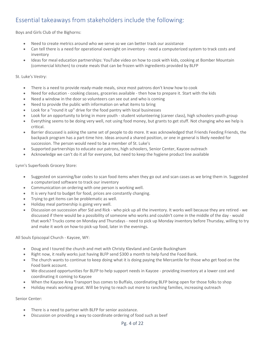## <span id="page-3-0"></span>Essential takeaways from stakeholders include the following:

Boys and Girls Club of the Bighorns:

- Need to create metrics around who we serve so we can better track our assistance
- Can tell there is a need for operational oversight on inventory need a computerized system to track costs and inventory
- Ideas for meal education partnerships: YouTube video on how to cook with kids, cooking at Bomber Mountain (commercial kitchen) to create meals that can be frozen with ingredients provided by BLFP

#### St. Luke's Vestry:

- There is a need to provide ready-made meals, since most patrons don't know how to cook
- Need for education cooking classes, groceries available then how to prepare it. Start with the kids
- Need a window in the door so volunteers can see out and who is coming
- Need to provide the public with information on what items to bring
- Look for a "round it up" drive for the food pantry with local businesses
- Look for an opportunity to bring in more youth student volunteering (career class), high schoolers youth group
- Everything seems to be doing very well, not using food money, but grants to get stuff. Not changing who we help is critical.
- Barrier discussed is asking the same set of people to do more. It was acknowledged that Friends Feeding Friends, the backpack program has a part-time hire. Ideas around a shared position, or one in general is likely needed for succession. The person would need to be a member of St. Luke's
- Supported partnerships to educate our patrons, high schoolers, Senior Center, Kaycee outreach
- Acknowledge we can't do it all for everyone, but need to keep the hygiene product line available

Lynn's Superfoods Grocery Store:

- Suggested on scanning/bar codes to scan food items when they go out and scan cases as we bring them in. Suggested a computerized software to track our inventory
- Communication on ordering with one person is working well.
- It is very hard to budget for food, prices are constantly changing.
- Trying to get items can be problematic as well.
- Holiday meal partnership is going very well.
- Discussion on succession after Sid and Rick who pick up all the inventory. It works well because they are retired we discussed if there would be a possibility of someone who works and couldn't come in the middle of the day - would that work? Trucks come on Monday and Thursdays - need to pick up Monday inventory before Thursday, willing to try and make it work on how-to pick-up food, later in the evenings.

All Souls Episcopal Church - Kaycee, WY:

- Doug and I toured the church and met with Christy Klevland and Carole Buckingham
- Right now, it really works just having BLFP send \$300 a month to help fund the Food Bank.
- The church wants to continue to keep doing what it is doing paying the Mercantile for those who get food on the Food bank account.
- We discussed opportunities for BLFP to help support needs in Kaycee providing inventory at a lower cost and coordinating it coming to Kaycee
- When the Kaycee Area Transport bus comes to Buffalo, coordinating BLFP being open for those folks to shop
- Holiday meals working great. Will be trying to reach out more to ranching families, increasing outreach

Senior Center:

- There is a need to partner with BLFP for senior assistance.
- Discussion on providing a way to coordinate ordering of food such as beef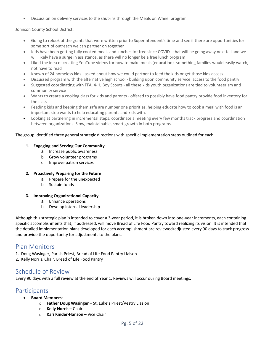• Discussion on delivery services to the shut-ins through the Meals on Wheel program

Johnson County School District:

- Going to relook at the grants that were written prior to Superintendent's time and see if there are opportunities for some sort of outreach we can partner on together
- Kids have been getting fully cooked meals and lunches for free since COVID that will be going away next fall and we will likely have a surge in assistance, as there will no longer be a free lunch program
- Liked the idea of creating YouTube videos for how to make meals (education)- something families would easily watch, not have to read
- Known of 24 homeless kids asked about how we could partner to feed the kids or get those kids access
- Discussed program with the alternative high school building upon community service, access to the food pantry
- Suggested coordinating with FFA, 4-H, Boy Scouts all these kids youth organizations are tied to volunteerism and community service
- Wants to create a cooking class for kids and parents offered to possibly have food pantry provide food inventory for the class
- Feeding kids and keeping them safe are number one priorities, helping educate how to cook a meal with food is an important step wants to help educating parents and kids with.
- Looking at partnering in incremental steps, coordinate a meeting every few months track progress and coordination between organizations. Slow, maintainable, smart growth in both programs.

#### The group identified three general strategic directions with specific implementation steps outlined for each:

#### **1. Engaging and Serving Our Community**

- a. Increase public awareness
- b. Grow volunteer programs
- c. Improve patron services

#### **2. Proactively Preparing for the Future**

- a. Prepare for the unexpected
- b. Sustain funds

#### **3. Improving Organizational Capacity**

- a. Enhance operations
- b. Develop internal leadership

Although this strategic plan is intended to cover a 3-year period, it is broken down into one-year increments, each containing specific accomplishments that, if addressed, will move Bread of Life Food Pantry toward realizing its vision. It is intended that the detailed implementation plans developed for each accomplishment are reviewed/adjusted every 90 days to track progress and provide the opportunity for adjustments to the plans.

## <span id="page-4-0"></span>Plan Monitors

- 1. Doug Wasinger, Parish Priest, Bread of Life Food Pantry Liaison
- <span id="page-4-1"></span>2**.** Kelly Norris, Chair, Bread of Life Food Pantry

## Schedule of Review

<span id="page-4-2"></span>Every 90 days with a full review at the end of Year 1. Reviews will occur during Board meetings.

## Participants

- **Board Members**:
	- o **Father Doug Wasinger** St. Luke's Priest/Vestry Liasion
	- o **Kelly Norris**  Chair
	- o **Kari Kinder-Hanson** Vice Chair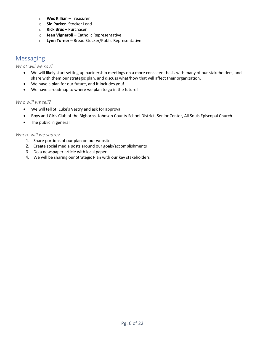- o **Wes Killian**  Treasurer
- o **Sid Parker** Stocker Lead
- o **Rick Brus**  Purchaser
- o **Jean Vignaroli**  Catholic Representative
- o **Lynn Turner**  Bread Stocker/Public Representative

## <span id="page-5-0"></span>Messaging

#### <span id="page-5-1"></span>*What will we say?*

- We will likely start setting up partnership meetings on a more consistent basis with many of our stakeholders, and share with them our strategic plan, and discuss what/how that will affect their organization.
- We have a plan for our future, and it includes you!
- We have a roadmap to where we plan to go in the future!

#### <span id="page-5-3"></span><span id="page-5-2"></span>*Who will we tell?*

- We will tell St. Luke's Vestry and ask for approval
- <span id="page-5-4"></span>• Boys and Girls Club of the Bighorns, Johnson County School District, Senior Center, All Souls Episcopal Church
- <span id="page-5-5"></span>• The public in general

#### <span id="page-5-6"></span>*Where will we share?*

- 1. Share portions of our plan on our website
- 2. Create social media posts around our goals/accomplishments
- 3. Do a newspaper article with local paper
- 4. We will be sharing our Strategic Plan with our key stakeholders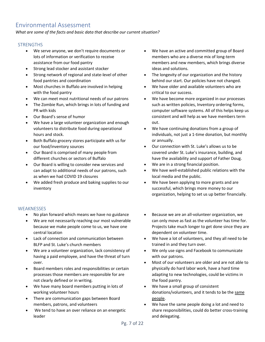## <span id="page-6-0"></span>Environmental Assessment

*What are some of the facts and basic data that describe our current situation?*

#### **STRENGTHS**

- We serve anyone, we don't require documents or lots of information or verification to receive assistance from our food pantry
- Strong lead stocker and assistant stocker
- Strong network of regional and state-level of other food pantries and coordination
- Most churches in Buffalo are involved in helping with the food pantry
- We can meet most nutritional needs of our patrons
- The Zombie Run, which brings in lots of funding and PR with kids
- Our Board's sense of humor
- We have a large volunteer organization and enough volunteers to distribute food during operational hours and stock.
- Both Buffalo grocery stores participate with us for our food/inventory sources
- Our Board is comprised of many people from different churches or sectors of Buffalo
- Our Board is willing to consider new services and can adapt to additional needs of our patrons, such as when we had COVID 19 closures
- We added fresh produce and baking supplies to our inventory

#### **WEAKNESSES**

- No plan forward which means we have no guidance
- We are not necessarily reaching our most vulnerable because we make people come to us, we have one central location
- Lack of connection and communication between BLFP and St. Luke's church members
- We are a volunteer organization, lack consistency of having a paid employee, and have the threat of turn over.
- Board members roles and responsibilities or certain processes those members are responsible for are not clearly defined or in writing.
- We have many board members putting in lots of working volunteer hours
- There are communication gaps between Board members, patrons, and volunteers
- We tend to have an over reliance on an energetic leader
- We have an active and committed group of Board members who are a diverse mix of long-term members and new members, which brings diverse ideas and solutions.
- The longevity of our organization and the history behind our start. Our policies have not changed.
- We have older and available volunteers who are critical to our success.
- We have become more organized in our processes such as written policies, Inventory ordering forms, computer software systems. All of this helps keep us consistent and will help as we have members term out.
- We have continuing donations from a group of individuals, not just a 1-time donation, but monthly or annually.
- Our connection with St. Luke's allows us to be covered under St. Luke's insurance, building, and have the availability and support of Father Doug.
- We are in a strong financial position.
- We have well-established public relations with the local media and the public.
- We have been applying to more grants and are successful, which brings more money to our organization, helping to set us up better financially.
- Because we are an all-volunteer organization, we can only move as fast as the volunteer has time for. Projects take much longer to get done since they are dependent on volunteer time.
- We have a lot of volunteers, and they all need to be trained in and they turn over.
- We only use signs and Facebook to communicate with our patrons.
- Most of our volunteers are older and are not able to physically do hard labor work, have a hard time adapting to new technologies, could be victims in the food pantry.
- We have a small group of consistent donations/volunteers, and it tends to be the same people.
- We have the same people doing a lot and need to share responsibilities, could do better cross-training and delegating.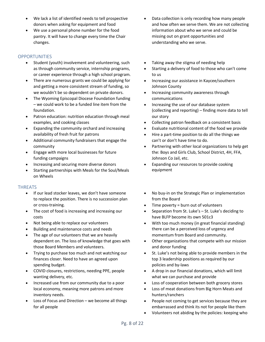- We lack a list of identified needs to tell prospective donors when asking for equipment and food
- We use a personal phone number for the food pantry. It will have to change every time the Chair changes.

#### **OPPORTUNITIES**

- Student (youth) involvement and volunteering, such as through community service, internship programs, or career experience through a high school program.
- There are numerous grants we could be applying for and getting a more consistent stream of funding, so we wouldn't be so dependent on private donors.
- The Wyoming Episcopal Diocese Foundation funding – we could work to be a funded line item from the foundation.
- Patron education: nutrition education through meal examples, and cooking classes
- Expanding the community orchard and increasing availability of fresh fruit for patrons
- Additional community fundraisers that engage the community
- Engage with more local businesses for future funding campaigns
- Increasing and securing more diverse donors
- Starting partnerships with Meals for the Soul/Meals on Wheels

#### **THREATS**

- If our lead stocker leaves, we don't have someone to replace the position. There is no succession plan or cross-training.
- The cost of food is increasing and increasing our costs
- Not being able to replace our volunteers
- Building and maintenance costs and needs
- The age of our volunteers that we are heavily dependent on. The loss of knowledge that goes with those Board Members and volunteers.
- Trying to purchase too much and not watching our finances closer. Need to have an agreed upon spending budget.
- COVID closures, restrictions, needing PPE, people wanting delivery, etc.
- Increased use from our community due to a poor local economy, meaning more patrons and more inventory needs.
- Loss of Focus and Direction  $-$  we become all things for all people
- Data collection is only recording how many people and how often we serve them. We are not collecting information about who we serve and could be missing out on grant opportunities and understanding who we serve.
- Taking away the stigma of needing help
- Starting a delivery of food to those who can't come to us
- Increasing our assistance in Kaycee/southern Johnson County
- Increasing community awareness through communications
- Increasing the use of our database system (collecting and reporting) – finding more data to tell our story
- Collecting patron feedback on a consistent basis
- Evaluate nutritional content of the food we provide
- Hire a part-time position to do all the things we can't or don't have time to do.
- Partnering with other local organizations to help get the: Boys and Girls Club, School District, 4H, FFA, Johnson Co Jail, etc.
- Expanding our resources to provide cooking equipment
- No buy-in on the Strategic Plan or implementation from the Board
- Time poverty = burn out of volunteers
- Separation from St. Luke's St. Luke's deciding to have BLFP become its own 501c3
- With too much money (in great financial standing) there can be a perceived loss of urgency and momentum from Board and community.
- Other organizations that compete with our mission and donor funding
- St. Luke's not being able to provide members in the top 3 leadership positions as required by our policies and by-laws
- A drop in our financial donations, which will limit what we can purchase and provide
- Loss of cooperation between both grocery stores
- Loss of meat donations from Big Horn Meats and hunters/ranchers
- People not coming to get services because they are embarrassed and think its not for people like them
- Volunteers not abiding by the policies: keeping who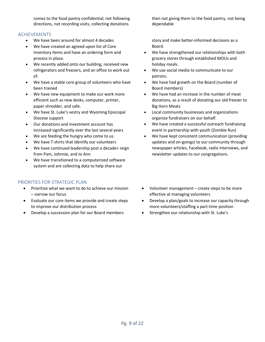comes to the food pantry confidential, not following directions, not recording visits, collecting donations

#### ACHIEVEMENTS

- We have been around for almost 4 decades
- We have created an agreed-upon list of Core Inventory Items and have an ordering form and process in place.
- We recently added onto our building, received new refrigerators and freezers, and an office to work out of.
- We have a stable core group of volunteers who have been trained
- We have new equipment to make our work more efficient such as new desks, computer, printer, paper shredder, and safe.
- We have St. Luke's vestry and Wyoming Episcopal Diocese support
- Our donations and investment account has increased significantly over the last several years
- We are feeding the hungry who come to us.
- We have T-shirts that identify our volunteers
- We have continued leadership post a decade+ reign from Pam, Johnnie, and Jo Ann
- We have transitioned to a computerized software system and are collecting data to help share our

#### PRIORITIES FOR STRATEGIC PLAN

- Prioritize what we want to do to achieve our mission – narrow our focus
- Evaluate our core items we provide and create steps to improve our distribution process
- Develop a succession plan for our Board members

then not giving them to the food pantry, not being dependable

story and make better-informed decisions as a Board.

- We have strengthened our relationships with both grocery stores through established MOUs and holiday meals.
- We use social media to communicate to our patrons.
- We have had growth on the Board (number of Board members)
- We have had an increase in the number of meat donations, as a result of donating our old freezer to Big Horn Meats
- Local community businesses and organizations organize fundraisers on our behalf.
- We have created a successful outreach fundraising event in partnership with youth (Zombie Run)
- We have kept consistent communication (providing updates and on-goings) to our community through newspaper articles, Facebook, radio interviews, and newsletter updates to our congregations.
- Volunteer management create steps to be more effective at managing volunteers
- Develop a plan/goals to increase our capacity through more volunteers/staffing a part-time position
- Strengthen our relationship with St. Luke's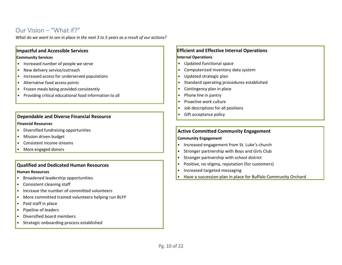## Our Vision – "What if?"

*What do we want to see in place in the next 3 to 5 years as a result of our actions?*

#### **Impactful and Accessible Services**

#### **Community Services**

- Increased number of people we serve
- New delivery service/outreach
- Increased access for underserved populations
- Alternative food access points
- Frozen meals being provided consistently
- <span id="page-9-0"></span>• Providing critical educational food information to all

#### **Dependable and Diverse Financial Resource**

#### **Financial Resources**

- Diversified fundraising opportunities
- Mission driven budget
- Consistent income streams
- More engaged donors

#### **Qualified and Dedicated Human Resources**

#### **Human Resources**

- Broadened leadership opportunities
- Consistent cleaning staff
- Increase the number of committed volunteers
- More committed trained volunteers helping run BLFP
- Paid staff in place
- Pipeline of leaders
- Diversified board members
- Strategic onboarding process established

#### **Efficient and Effective Internal Operations Internal Operations**

- Updated functional space
- Computerized inventory data system
- Updated strategic plan
- Standard operating procedures established
- Contingency plan in place
- Phone line in pantry
- Proactive work culture
- Job descriptions for all positions
- Gift acceptance policy

#### **Active Committed Community Engagement**

#### **Community Engagement**

- Increased engagement from St. Luke's church
- Stronger partnership with Boys and Girls Club
- Stronger partnership with school district
- Positive, no stigma, reputation (for customers)
- Increased targeted messaging
- Have a succession plan in place for Buffalo Community Orchard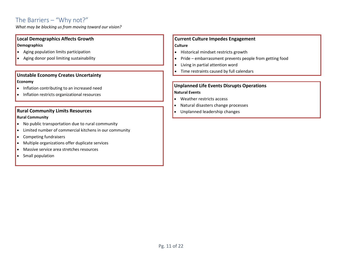## The Barriers – "Why not?"

*What may be blocking us from moving toward our vision?*

#### **Local Demographics Affects Growth Demographics**

- Aging population limits participation
- Aging donor pool limiting sustainability

#### **Unstable Economy Creates Uncertainty Economy**

- Inflation contributing to an increased need
- <span id="page-10-0"></span>• Inflation restricts organizational resources

#### **Rural Community Limits Resources**

#### **Rural Community**

- No public transportation due to rural community
- Limited number of commercial kitchens in our community
- Competing fundraisers
- Multiple organizations offer duplicate services
- Massive service area stretches resources
- Small population

#### **Current Culture Impedes Engagement Culture**

- Historical mindset restricts growth
- Pride embarrassment prevents people from getting food
- Living in partial attention word
- Time restraints caused by full calendars

#### **Unplanned Life Events Disrupts Operations Natural Events**

- Weather restricts access
- Natural disasters change processes
- Unplanned leadership changes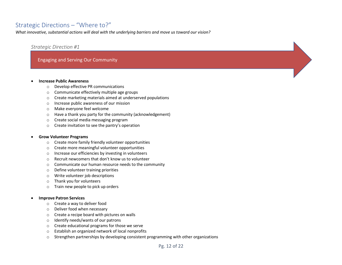## Strategic Directions – "Where to?"

*What innovative, substantial actions will deal with the underlying barriers and move us toward our vision?*

#### *Strategic Direction #1*

#### Engaging and Serving Our Community

#### <span id="page-11-0"></span>• **Increase Public Awareness**

- o Develop effective PR communications
- o Communicate effectively multiple age groups
- o Create marketing materials aimed at underserved populations
- o Increase public awareness of our mission
- o Make everyone feel welcome
- o Have a thank you party for the community (acknowledgement)
- o Create social media messaging program
- o Create invitation to see the pantry's operation

#### <span id="page-11-1"></span>• **Grow Volunteer Programs**

- o Create more family friendly volunteer opportunities
- o Create more meaningful volunteer opportunities
- o Increase our efficiencies by investing in volunteers
- o Recruit newcomers that don't know us to volunteer
- o Communicate our human resource needs to the community
- o Define volunteer training priorities
- o Write volunteer job descriptions
- o Thank you for volunteers
- o Train new people to pick up orders

#### • **Improve Patron Services**

- o Create a way to deliver food
- o Deliver food when necessary
- o Create a recipe board with pictures on walls
- o Identify needs/wants of our patrons
- o Create educational programs for those we serve
- o Establish an organized network of local nonprofits
- $\circ$  Strengthen partnerships by developing consistent programming with other organizations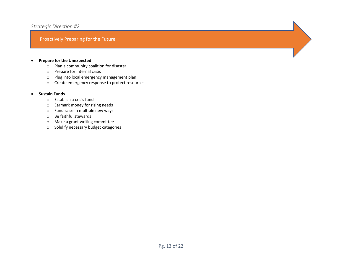#### *Strategic Direction #2*

#### Proactively Preparing for the Future

- **Prepare for the Unexpected**
	- o Plan a community coalition for disaster
	- o Prepare for internal crisis
	- o Plug into local emergency management plan
	- o Create emergency response to protect resources

#### <span id="page-12-0"></span>• **Sustain Funds**

- o Establish a crisis fund
- o Earmark money for rising needs
- o Fund raise in multiple new ways
- o Be faithful stewards
- o Make a grant writing committee
- o Solidify necessary budget categories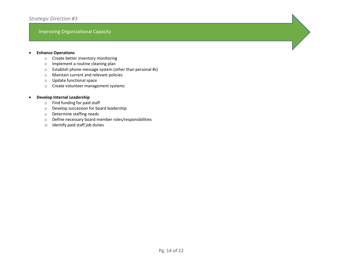#### Improving Organizational Capacity

#### • **Enhance Operations**

- o Create better inventory monitoring
- o Implement a routine cleaning plan
- o Establish phone message system (other than personal #s)
- o Maintain current and relevant policies
- o Update functional space
- o Create volunteer management systems

#### <span id="page-13-0"></span>• **Develop Internal Leadership**

- o Find funding for paid staff
- o Develop succession for board leadership
- o Determine staffing needs
- o Define necessary board member roles/responsibilities
- o Identify paid staff job duties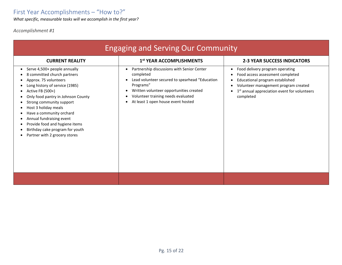*What specific, measurable tasks will we accomplish in the first year?*

*Accomplishment #1*

<span id="page-14-0"></span>

| <b>Engaging and Serving Our Community</b>                                                                                                                                                                                                                                                                                                                                                                                    |                                                                                                                                                                                                                                                                                        |                                                                                                                                                                                                                                                                             |  |  |  |  |  |
|------------------------------------------------------------------------------------------------------------------------------------------------------------------------------------------------------------------------------------------------------------------------------------------------------------------------------------------------------------------------------------------------------------------------------|----------------------------------------------------------------------------------------------------------------------------------------------------------------------------------------------------------------------------------------------------------------------------------------|-----------------------------------------------------------------------------------------------------------------------------------------------------------------------------------------------------------------------------------------------------------------------------|--|--|--|--|--|
| <b>CURRENT REALITY</b>                                                                                                                                                                                                                                                                                                                                                                                                       | 1st YEAR ACCOMPLISHMENTS                                                                                                                                                                                                                                                               | <b>2-3 YEAR SUCCESS INDICATORS</b>                                                                                                                                                                                                                                          |  |  |  |  |  |
| Serve 4,500+ people annually<br>$\bullet$<br>8 committed church partners<br>Approx. 75 volunteers<br>Long history of service (1985)<br>Active FB (500+)<br>Only food pantry in Johnson County<br>Strong community support<br>Host 3 holiday meals<br>Have a community orchard<br>Annual fundraising event<br>$\bullet$<br>Provide food and hygiene items<br>Birthday cake program for youth<br>Partner with 2 grocery stores | Partnership discussions with Senior Center<br>$\bullet$<br>completed<br>Lead volunteer secured to spearhead "Education<br>$\bullet$<br>Programs"<br>Written volunteer opportunities created<br>٠<br>Volunteer training needs evaluated<br>٠<br>At least 1 open house event hosted<br>٠ | Food delivery program operating<br>$\bullet$<br>Food access assessment completed<br>$\bullet$<br>Educational program established<br>$\bullet$<br>Volunteer management program created<br>$\bullet$<br>1 <sup>st</sup> annual appreciation event for volunteers<br>completed |  |  |  |  |  |
|                                                                                                                                                                                                                                                                                                                                                                                                                              |                                                                                                                                                                                                                                                                                        |                                                                                                                                                                                                                                                                             |  |  |  |  |  |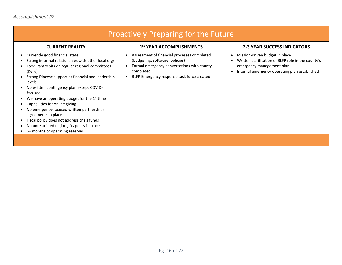| <b>Proactively Preparing for the Future</b>                                                                                                                                                                                                                                                                                                                                                                                                                                                                                                                                                                   |                                                                                                                                                                                                                   |                                                                                                                                                                         |  |  |  |  |  |  |
|---------------------------------------------------------------------------------------------------------------------------------------------------------------------------------------------------------------------------------------------------------------------------------------------------------------------------------------------------------------------------------------------------------------------------------------------------------------------------------------------------------------------------------------------------------------------------------------------------------------|-------------------------------------------------------------------------------------------------------------------------------------------------------------------------------------------------------------------|-------------------------------------------------------------------------------------------------------------------------------------------------------------------------|--|--|--|--|--|--|
| <b>CURRENT REALITY</b>                                                                                                                                                                                                                                                                                                                                                                                                                                                                                                                                                                                        | 1 <sup>st</sup> YEAR ACCOMPLISHMENTS                                                                                                                                                                              | <b>2-3 YEAR SUCCESS INDICATORS</b>                                                                                                                                      |  |  |  |  |  |  |
| Currently good financial state<br>$\bullet$<br>Strong informal relationships with other local orgs<br>Food Pantry Sits on regular regional committees<br>(Kelly)<br>Strong Diocese support at financial and leadership<br>levels<br>No written contingency plan except COVID-<br>focused<br>We have an operating budget for the 1 <sup>st</sup> time<br>Capabilities for online giving<br>$\bullet$<br>No emergency-focused written partnerships<br>agreements in place<br>Fiscal policy does not address crisis funds<br>No unrestricted major gifts policy in place<br>٠<br>6+ months of operating reserves | Assessment of financial processes completed<br>$\bullet$<br>(budgeting, software, policies)<br>Formal emergency conversations with county<br>$\bullet$<br>completed<br>BLFP Emergency response task force created | Mission-driven budget in place<br>٠<br>Written clarification of BLFP role in the county's<br>emergency management plan<br>Internal emergency operating plan established |  |  |  |  |  |  |
|                                                                                                                                                                                                                                                                                                                                                                                                                                                                                                                                                                                                               |                                                                                                                                                                                                                   |                                                                                                                                                                         |  |  |  |  |  |  |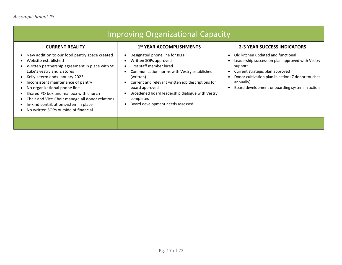| <b>Improving Organizational Capacity</b>                                                                                                                                                                                                                                                                                                                                                                                                  |                                                                                                                                                                                                                                                                                                                            |                                                                                                                                                                                                                                                        |  |  |  |  |  |
|-------------------------------------------------------------------------------------------------------------------------------------------------------------------------------------------------------------------------------------------------------------------------------------------------------------------------------------------------------------------------------------------------------------------------------------------|----------------------------------------------------------------------------------------------------------------------------------------------------------------------------------------------------------------------------------------------------------------------------------------------------------------------------|--------------------------------------------------------------------------------------------------------------------------------------------------------------------------------------------------------------------------------------------------------|--|--|--|--|--|
| <b>CURRENT REALITY</b>                                                                                                                                                                                                                                                                                                                                                                                                                    | 1st YEAR ACCOMPLISHMENTS                                                                                                                                                                                                                                                                                                   | <b>2-3 YEAR SUCCESS INDICATORS</b>                                                                                                                                                                                                                     |  |  |  |  |  |
| New addition to our food pantry space created<br>Website established<br>Written partnership agreement in place with St.<br>Luke's vestry and 2 stores<br>Kelly's term ends January 2023<br>Inconsistent maintenance of pantry<br>No organizational phone line<br>Shared PO box and mailbox with church<br>Chair and Vice-Chair manage all donor relations<br>In-kind contribution system in place<br>No written SOPs outside of financial | Designated phone line for BLFP<br>Written SOPs approved<br>First staff member hired<br>Communication norms with Vestry established<br>(written)<br>Current and relevant written job descriptions for<br>board approved<br>Broadened board leadership dialogue with Vestry<br>completed<br>Board development needs assessed | Old kitchen updated and functional<br>Leadership succession plan approved with Vestry<br>support<br>Current strategic plan approved<br>Donor cultivation plan in action (7 donor touches<br>annually)<br>Board development onboarding system in action |  |  |  |  |  |
|                                                                                                                                                                                                                                                                                                                                                                                                                                           |                                                                                                                                                                                                                                                                                                                            |                                                                                                                                                                                                                                                        |  |  |  |  |  |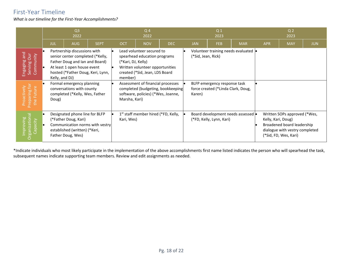## First-Year Timeline

*What is our timeline for the First-Year Accomplishments?*

<span id="page-17-0"></span>

|                                                                                                             | Q <sub>3</sub><br>2022 |                         |                                                                                                                                                                                                                                                                    | Q <sub>4</sub><br>2022 |            | Q <sub>1</sub><br>2023                                                                                                                                                                                                                                                                |     |  | Q <sub>2</sub><br>2023       |                                                                                                            |            |                    |                                                                                                                       |            |
|-------------------------------------------------------------------------------------------------------------|------------------------|-------------------------|--------------------------------------------------------------------------------------------------------------------------------------------------------------------------------------------------------------------------------------------------------------------|------------------------|------------|---------------------------------------------------------------------------------------------------------------------------------------------------------------------------------------------------------------------------------------------------------------------------------------|-----|--|------------------------------|------------------------------------------------------------------------------------------------------------|------------|--------------------|-----------------------------------------------------------------------------------------------------------------------|------------|
|                                                                                                             |                        | <b>JUL</b>              | <b>AUG</b>                                                                                                                                                                                                                                                         | <b>SEPT</b>            | <b>OCT</b> | <b>NOV</b>                                                                                                                                                                                                                                                                            | DEC |  | <b>JAN</b>                   | <b>FEB</b>                                                                                                 | <b>MAR</b> | <b>APR</b>         | <b>MAY</b>                                                                                                            | <b>JUN</b> |
| pue<br>Engaging and<br>Serving Our<br>Community<br>aring for<br>Future<br>ctively<br>Prepar<br>the H<br>roa |                        | Kelly, and DJ)<br>Doug) | Partnership discussions with<br>senior center completed (*Kelly,<br>Father Doug and Ian and Board)<br>At least 1 open house event<br>hosted (*Father Doug, Keri, Lynn,<br>Formal emergency planning<br>conversations with county<br>completed (*Kelly, Wes, Father |                        | member)    | Lead volunteer secured to<br>spearhead education programs<br>(*Kari, DJ, Kelly)<br>Written volunteer opportunities<br>created (*Sid, Jean, LDS Board<br>Assessment of financial processes<br>completed (budgeting, bookkeeping<br>software, policies) (*Wes, Joanne,<br>Marsha, Kari) |     |  | (*Sid, Jean, Rick)<br>Karen) | Volunteer training needs evaluated •<br>BLFP emergency response task<br>force created (*Linda Clark, Doug, |            |                    |                                                                                                                       |            |
| $\Delta$<br>Improving<br>Organizational<br>Capacity                                                         |                        |                         | Designated phone line for BLFP<br>(*Father Doug, Kari)<br>Communication norms with vestry<br>established (written) (*Keri,<br>Father Doug, Wes)                                                                                                                    |                        | Kari, Wes) | 1 <sup>st</sup> staff member hired (*FD, Kelly,                                                                                                                                                                                                                                       |     |  |                              | Board development needs assessed  <br>(*FD, Kelly, Lynn, Kari)                                             |            | Kelly, Kari, Doug) | Written SOPs approved (*Wes,<br>Broadened board leadership<br>dialogue with vestry completed<br>(*Sid, FD, Wes, Kari) |            |

\*Indicate individuals who most likely participate in the implementation of the above accomplishments first name listed indicates the person who will spearhead the task, subsequent names indicate supporting team members. Review and edit assignments as needed.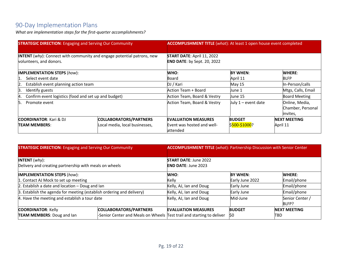# 90-Day Implementation Plans

*What are implementation steps for the first-quarter accomplishments?*

| <b>STRATEGIC DIRECTION:</b> Engaging and Serving Our Community |                                                                               | <b>ACCOMPLISHMENT TITLE</b> (what): At least 1 open house event completed |                              |                                                 |  |  |
|----------------------------------------------------------------|-------------------------------------------------------------------------------|---------------------------------------------------------------------------|------------------------------|-------------------------------------------------|--|--|
| volunteers, and donors.                                        | <b>INTENT</b> (why): Connect with community and engage potential patrons, new | <b>START DATE: April 11, 2022</b><br><b>END DATE:</b> by Sept. 20, 2022   |                              |                                                 |  |  |
| <b>IMPLEMENTATION STEPS (how):</b>                             |                                                                               | WHO:                                                                      | <b>BY WHEN:</b>              | <b>WHERE:</b>                                   |  |  |
| Select event date<br>11.                                       |                                                                               | Board                                                                     | April 11                     | <b>BLFP</b>                                     |  |  |
| Establish event planning action team<br>12.                    |                                                                               | DJ / Kari                                                                 | May 15                       | In-Person/calls                                 |  |  |
| β.<br>Identify guests                                          |                                                                               | Action Team + Board                                                       | Mtgs, Calls, Email<br>June 1 |                                                 |  |  |
| Confirm event logistics (food and set up and budget)<br>4.     |                                                                               | Action Team, Board & Vestry                                               | June 15                      | <b>Board Meeting</b>                            |  |  |
| Promote event<br>ь.                                            |                                                                               | Action Team, Board & Vestry                                               | July $1$ – event date        | Online, Media,<br>Chamber, Personal<br>invites, |  |  |
| <b>COORDINATOR:</b> Kari & DJ                                  | <b>COLLABORATORS/PARTNERS</b>                                                 | <b>EVALUATION MEASURES</b>                                                | <b>BUDGET</b>                | <b>NEXT MEETING</b>                             |  |  |
| <b>TEAM MEMBERS:</b>                                           | Local media, local businesses,                                                | Event was hosted and well-<br>lattended                                   | \$500-\$1000?                | April 11                                        |  |  |

<span id="page-18-0"></span>

| <b>STRATEGIC DIRECTION: Engaging and Serving Our Community</b>                               |                                                                       | <b>ACCOMPLISHMENT TITLE</b> (what): Partnership Discussion with Senior Center |                 |                          |  |  |
|----------------------------------------------------------------------------------------------|-----------------------------------------------------------------------|-------------------------------------------------------------------------------|-----------------|--------------------------|--|--|
| <b>INTENT</b> $(why)$ :                                                                      |                                                                       | <b>START DATE: June 2022</b>                                                  |                 |                          |  |  |
| Delivery and creating partnership with meals on wheels<br><b>IMPLEMENTATION STEPS (how):</b> |                                                                       | <b>END DATE: June 2023</b><br><b>BY WHEN:</b><br><b>WHERE:</b><br>WHO:        |                 |                          |  |  |
| 1. Contact AJ Mock to set up meeting                                                         |                                                                       | Kelly                                                                         | Early June 2022 | Email/phone              |  |  |
| 2. Establish a date and location $-$ Doug and lan                                            |                                                                       | Kelly, AJ, Ian and Doug                                                       | Early June      | Email/phone              |  |  |
| 3. Establish the agenda for meeting (establish ordering and delivery)                        |                                                                       | Kelly, AJ, Ian and Doug                                                       | Early June      | Email/phone              |  |  |
| 4. Have the meeting and establish a tour date                                                |                                                                       | Kelly, AJ, Ian and Doug                                                       | Mid-June        | Senior Center /<br>BLFP? |  |  |
| <b>COORDINATOR: Kelly</b>                                                                    | COLLABORATORS/PARTNERS                                                | <b>EVALUATION MEASURES</b>                                                    | <b>BUDGET</b>   | <b>INEXT MEETING</b>     |  |  |
| <b>TEAM MEMBERS: Doug and lan</b>                                                            | -Senior Center and Meals on Wheels Test trail and starting to deliver |                                                                               | \$0             | TBD                      |  |  |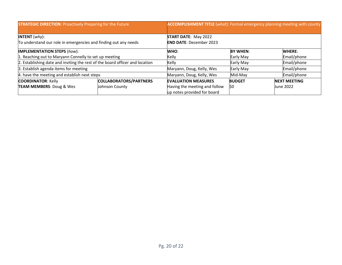| <b>STRATEGIC DIRECTION: Proactively Preparing for the Future</b>             |                | <b>ACCOMPLISHMENT TITLE</b> (what): Formal emergency planning meeting with county |                 |  |                     |  |
|------------------------------------------------------------------------------|----------------|-----------------------------------------------------------------------------------|-----------------|--|---------------------|--|
| <b>INTENT</b> $(why)$ :                                                      |                | <b>START DATE: May 2022</b>                                                       |                 |  |                     |  |
| To understand our role in emergencies and finding out any needs              |                | <b>END DATE: December 2023</b>                                                    |                 |  |                     |  |
| <b>IMPLEMENTATION STEPS (how):</b>                                           |                | WHO:                                                                              | <b>BY WHEN:</b> |  | <b>WHERE:</b>       |  |
| 1. Reaching out to Maryann Connelly to set up meeting                        |                | Kelly                                                                             | Early May       |  | Email/phone         |  |
| 2. Establishing date and inviting the rest of the board officer and location |                | Kelly                                                                             | Early May       |  | Email/phone         |  |
| 3. Establish agenda items for meeting                                        |                | Maryann, Doug, Kelly, Wes                                                         | Early May       |  | Email/phone         |  |
| 4. have the meeting and establish next steps                                 |                | Maryann, Doug, Kelly, Wes                                                         | Mid-May         |  | Email/phone         |  |
| <b>COLLABORATORS/PARTNERS</b><br><b>COORDINATOR: Kelly</b>                   |                | <b>EVALUATION MEASURES</b>                                                        | <b>BUDGET</b>   |  | <b>NEXT MEETING</b> |  |
| <b>TEAM MEMBERS: Doug &amp; Wes</b>                                          | Johnson County | Having the meeting and follow<br>up notes provided for board                      | 50              |  | <b>June 2022</b>    |  |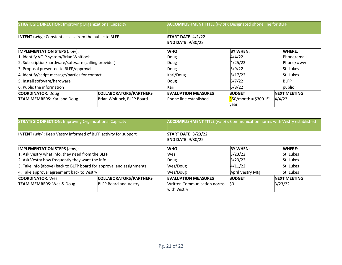| <b>STRATEGIC DIRECTION: Improving Organizational Capacity</b> |                            | <b>ACCOMPLISHMENT TITLE</b> (what): Designated phone line for BLFP |                                              |                     |  |  |
|---------------------------------------------------------------|----------------------------|--------------------------------------------------------------------|----------------------------------------------|---------------------|--|--|
| <b>INTENT</b> (why): Constant access from the public to BLFP  |                            | START DATE: $4/1/22$<br><b>END DATE: 9/30/22</b>                   |                                              |                     |  |  |
| <b>IMPLEMENTATION STEPS (how):</b>                            |                            | WHO:                                                               | <b>BY WHEN:</b>                              | <b>WHERE:</b>       |  |  |
| 1. identify VOIP system/Brian Whitlock                        |                            | Doug                                                               | 4/4/22                                       | Phone/email         |  |  |
| 2. Subscription/hardware/software (calling provider)          |                            | Doug                                                               | 4/25/22                                      | Phone/www           |  |  |
| 3. Proposal presented to BLFP/approval                        |                            | Doug                                                               | 5/9/22                                       | St. Lukes           |  |  |
| 4. Identify/script message/parties for contact                |                            | Kari/Doug                                                          | 5/17/22                                      | St. Lukes           |  |  |
| 5. Install software/hardware                                  |                            | Doug                                                               | 6/7/22                                       | <b>BLFP</b>         |  |  |
| 6. Public the information                                     |                            | Kari                                                               | 6/8/22                                       | public              |  |  |
| <b>COORDINATOR: Doug</b>                                      | COLLABORATORS/PARTNERS     | <b>EVALUATION MEASURES</b>                                         | <b>BUDGET</b>                                | <b>NEXT MEETING</b> |  |  |
| <b>TEAM MEMBERS: Kari and Doug</b>                            | Brian Whitlock, BLFP Board | Phone line established                                             | $$50/m$ onth = \$300 1 <sup>st</sup><br>year | 4/4/22              |  |  |

| <b>STRATEGIC DIRECTION: Improving Organizational Capacity</b>          |                               | <b>ACCOMPLISHMENT TITLE</b> (what): Communication norms with Vestry established |                  |                     |  |
|------------------------------------------------------------------------|-------------------------------|---------------------------------------------------------------------------------|------------------|---------------------|--|
| <b>INTENT</b> (why): Keep Vestry informed of BLFP activity for support |                               | <b>START DATE: 3/23/22</b><br><b>END DATE: 9/30/22</b>                          |                  |                     |  |
| <b>IMPLEMENTATION STEPS (how):</b>                                     |                               | <b>WHO:</b>                                                                     | <b>BY WHEN:</b>  | <b>WHERE:</b>       |  |
| 1. Ask Vestry what info. they need from the BLFP                       |                               | Wes                                                                             | 3/23/22          | St. Lukes           |  |
| 2. Ask Vestry how frequently they want the info.                       |                               | Doug                                                                            | 3/23/22          | <b>St. Lukes</b>    |  |
| 3. Take info (above) back to BLFP board for approval and assignments   |                               | Wes/Doug                                                                        | 4/11/22          | St. Lukes           |  |
| 4. Take approval agreement back to Vestry                              |                               | Wes/Doug                                                                        | April Vestry Mtg | St. Lukes           |  |
| <b>COORDINATOR: Wes</b>                                                | <b>COLLABORATORS/PARTNERS</b> | <b>EVALUATION MEASURES</b>                                                      | <b>BUDGET</b>    | <b>NEXT MEETING</b> |  |
| <b>TEAM MEMBERS: Wes &amp; Doug</b>                                    | <b>BLFP Board and Vestry</b>  | <b>Written Communication norms</b><br>with Vestry                               | l\$0             | 3/23/22             |  |